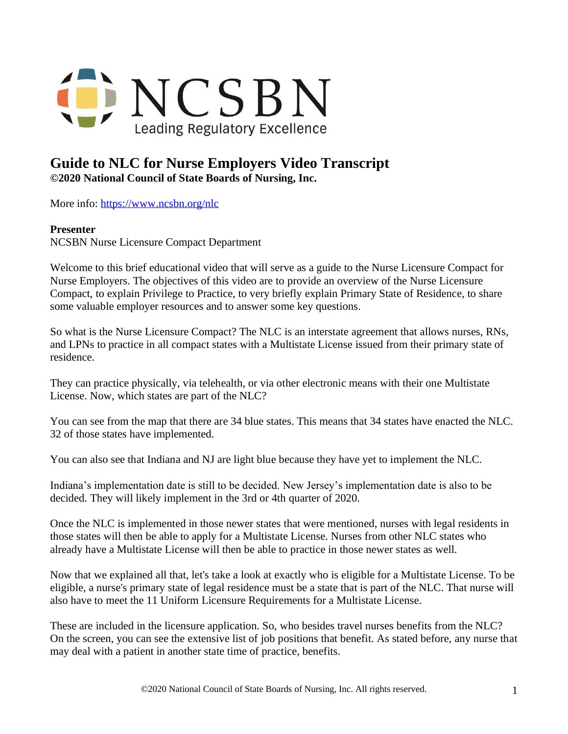

## **Guide to NLC for Nurse Employers Video Transcript ©2020 National Council of State Boards of Nursing, Inc.**

More info: <https://www.ncsbn.org/nlc>

## **Presenter**

NCSBN Nurse Licensure Compact Department

Welcome to this brief educational video that will serve as a guide to the Nurse Licensure Compact for Nurse Employers. The objectives of this video are to provide an overview of the Nurse Licensure Compact, to explain Privilege to Practice, to very briefly explain Primary State of Residence, to share some valuable employer resources and to answer some key questions.

So what is the Nurse Licensure Compact? The NLC is an interstate agreement that allows nurses, RNs, and LPNs to practice in all compact states with a Multistate License issued from their primary state of residence.

They can practice physically, via telehealth, or via other electronic means with their one Multistate License. Now, which states are part of the NLC?

You can see from the map that there are 34 blue states. This means that 34 states have enacted the NLC. 32 of those states have implemented.

You can also see that Indiana and NJ are light blue because they have yet to implement the NLC.

Indiana's implementation date is still to be decided. New Jersey's implementation date is also to be decided. They will likely implement in the 3rd or 4th quarter of 2020.

Once the NLC is implemented in those newer states that were mentioned, nurses with legal residents in those states will then be able to apply for a Multistate License. Nurses from other NLC states who already have a Multistate License will then be able to practice in those newer states as well.

Now that we explained all that, let's take a look at exactly who is eligible for a Multistate License. To be eligible, a nurse's primary state of legal residence must be a state that is part of the NLC. That nurse will also have to meet the 11 Uniform Licensure Requirements for a Multistate License.

These are included in the licensure application. So, who besides travel nurses benefits from the NLC? On the screen, you can see the extensive list of job positions that benefit. As stated before, any nurse that may deal with a patient in another state time of practice, benefits.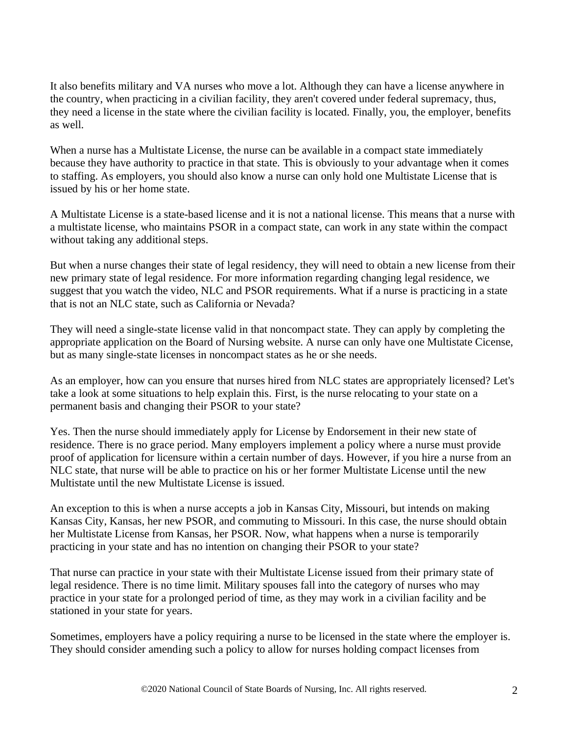It also benefits military and VA nurses who move a lot. Although they can have a license anywhere in the country, when practicing in a civilian facility, they aren't covered under federal supremacy, thus, they need a license in the state where the civilian facility is located. Finally, you, the employer, benefits as well.

When a nurse has a Multistate License, the nurse can be available in a compact state immediately because they have authority to practice in that state. This is obviously to your advantage when it comes to staffing. As employers, you should also know a nurse can only hold one Multistate License that is issued by his or her home state.

A Multistate License is a state-based license and it is not a national license. This means that a nurse with a multistate license, who maintains PSOR in a compact state, can work in any state within the compact without taking any additional steps.

But when a nurse changes their state of legal residency, they will need to obtain a new license from their new primary state of legal residence. For more information regarding changing legal residence, we suggest that you watch the video, NLC and PSOR requirements. What if a nurse is practicing in a state that is not an NLC state, such as California or Nevada?

They will need a single-state license valid in that noncompact state. They can apply by completing the appropriate application on the Board of Nursing website. A nurse can only have one Multistate Cicense, but as many single-state licenses in noncompact states as he or she needs.

As an employer, how can you ensure that nurses hired from NLC states are appropriately licensed? Let's take a look at some situations to help explain this. First, is the nurse relocating to your state on a permanent basis and changing their PSOR to your state?

Yes. Then the nurse should immediately apply for License by Endorsement in their new state of residence. There is no grace period. Many employers implement a policy where a nurse must provide proof of application for licensure within a certain number of days. However, if you hire a nurse from an NLC state, that nurse will be able to practice on his or her former Multistate License until the new Multistate until the new Multistate License is issued.

An exception to this is when a nurse accepts a job in Kansas City, Missouri, but intends on making Kansas City, Kansas, her new PSOR, and commuting to Missouri. In this case, the nurse should obtain her Multistate License from Kansas, her PSOR. Now, what happens when a nurse is temporarily practicing in your state and has no intention on changing their PSOR to your state?

That nurse can practice in your state with their Multistate License issued from their primary state of legal residence. There is no time limit. Military spouses fall into the category of nurses who may practice in your state for a prolonged period of time, as they may work in a civilian facility and be stationed in your state for years.

Sometimes, employers have a policy requiring a nurse to be licensed in the state where the employer is. They should consider amending such a policy to allow for nurses holding compact licenses from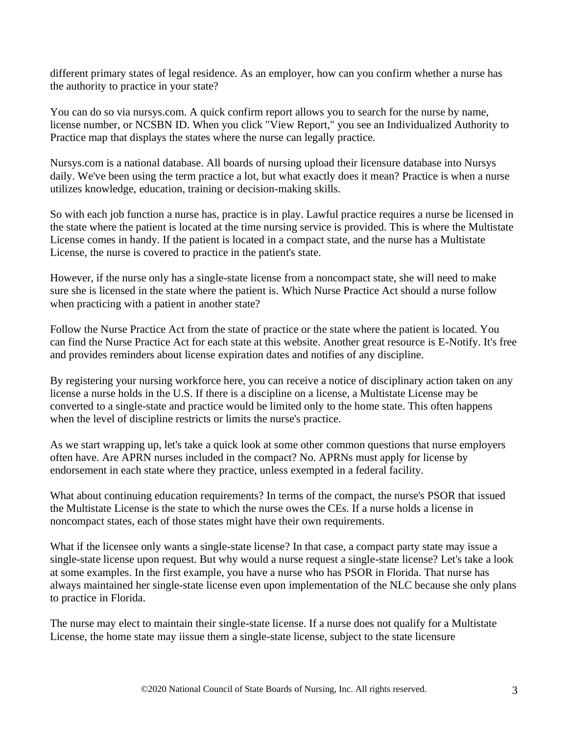different primary states of legal residence. As an employer, how can you confirm whether a nurse has the authority to practice in your state?

You can do so via nursys.com. A quick confirm report allows you to search for the nurse by name, license number, or NCSBN ID. When you click "View Report," you see an Individualized Authority to Practice map that displays the states where the nurse can legally practice.

Nursys.com is a national database. All boards of nursing upload their licensure database into Nursys daily. We've been using the term practice a lot, but what exactly does it mean? Practice is when a nurse utilizes knowledge, education, training or decision-making skills.

So with each job function a nurse has, practice is in play. Lawful practice requires a nurse be licensed in the state where the patient is located at the time nursing service is provided. This is where the Multistate License comes in handy. If the patient is located in a compact state, and the nurse has a Multistate License, the nurse is covered to practice in the patient's state.

However, if the nurse only has a single-state license from a noncompact state, she will need to make sure she is licensed in the state where the patient is. Which Nurse Practice Act should a nurse follow when practicing with a patient in another state?

Follow the Nurse Practice Act from the state of practice or the state where the patient is located. You can find the Nurse Practice Act for each state at this website. Another great resource is E-Notify. It's free and provides reminders about license expiration dates and notifies of any discipline.

By registering your nursing workforce here, you can receive a notice of disciplinary action taken on any license a nurse holds in the U.S. If there is a discipline on a license, a Multistate License may be converted to a single-state and practice would be limited only to the home state. This often happens when the level of discipline restricts or limits the nurse's practice.

As we start wrapping up, let's take a quick look at some other common questions that nurse employers often have. Are APRN nurses included in the compact? No. APRNs must apply for license by endorsement in each state where they practice, unless exempted in a federal facility.

What about continuing education requirements? In terms of the compact, the nurse's PSOR that issued the Multistate License is the state to which the nurse owes the CEs. If a nurse holds a license in noncompact states, each of those states might have their own requirements.

What if the licensee only wants a single-state license? In that case, a compact party state may issue a single-state license upon request. But why would a nurse request a single-state license? Let's take a look at some examples. In the first example, you have a nurse who has PSOR in Florida. That nurse has always maintained her single-state license even upon implementation of the NLC because she only plans to practice in Florida.

The nurse may elect to maintain their single-state license. If a nurse does not qualify for a Multistate License, the home state may iissue them a single-state license, subject to the state licensure